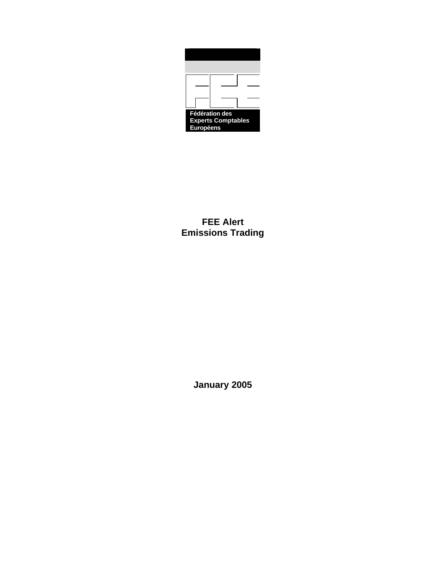| <b>Fédération des</b>     |  |  |
|---------------------------|--|--|
| <b>Experts Comptables</b> |  |  |
| Européens                 |  |  |

**FEE Alert Emissions Trading**

**January 2005**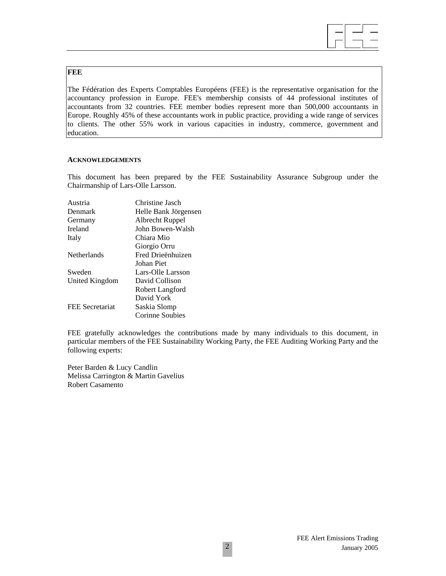#### **FEE**

The Fédération des Experts Comptables Européens (FEE) is the representative organisation for the accountancy profession in Europe. FEE's membership consists of 44 professional institutes of accountants from 32 countries. FEE member bodies represent more than 500,000 accountants in Europe. Roughly 45% of these accountants work in public practice, providing a wide range of services to clients. The other 55% work in various capacities in industry, commerce, government and education.

#### **ACKNOWLEDGEMENTS**

This document has been prepared by the FEE Sustainability Assurance Subgroup under the Chairmanship of Lars-Olle Larsson.

| Austria            | Christine Jasch      |
|--------------------|----------------------|
| Denmark            | Helle Bank Jörgensen |
| Germany            | Albrecht Ruppel      |
| Ireland            | John Bowen-Walsh     |
| Italy              | Chiara Mio           |
|                    | Giorgio Orru         |
| <b>Netherlands</b> | Fred Drieënhuizen    |
|                    | Johan Piet           |
| Sweden             | Lars-Olle Larsson    |
| United Kingdom     | David Collison       |
|                    | Robert Langford      |
|                    | David York           |
| FEE Secretariat    | Saskia Slomp         |
|                    | Corinne Soubies      |

FEE gratefully acknowledges the contributions made by many individuals to this document, in particular members of the FEE Sustainability Working Party, the FEE Auditing Working Party and the following experts:

Peter Barden & Lucy Candlin Melissa Carrington & Martin Gavelius Robert Casamento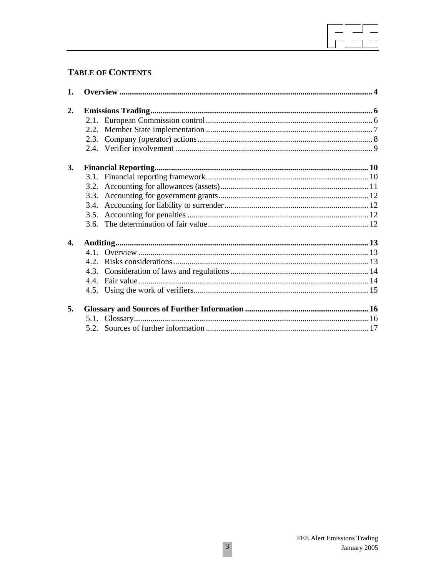# **TABLE OF CONTENTS**

| 1. |  |  |  |
|----|--|--|--|
| 2. |  |  |  |
|    |  |  |  |
|    |  |  |  |
|    |  |  |  |
|    |  |  |  |
| 3. |  |  |  |
|    |  |  |  |
|    |  |  |  |
|    |  |  |  |
|    |  |  |  |
|    |  |  |  |
|    |  |  |  |
| 4. |  |  |  |
|    |  |  |  |
|    |  |  |  |
|    |  |  |  |
|    |  |  |  |
|    |  |  |  |
| 5. |  |  |  |
|    |  |  |  |
|    |  |  |  |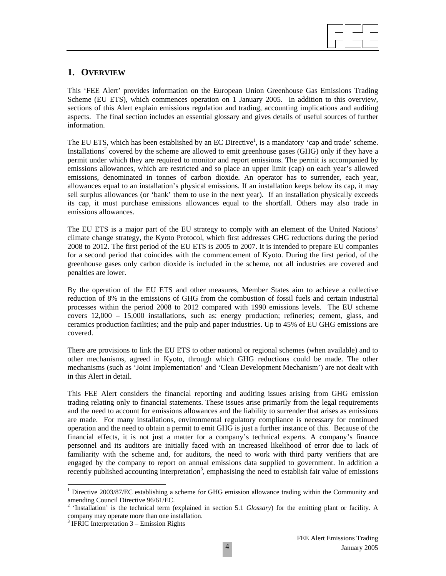

# **1. OVERVIEW**

This 'FEE Alert' provides information on the European Union Greenhouse Gas Emissions Trading Scheme (EU ETS), which commences operation on 1 January 2005. In addition to this overview, sections of this Alert explain emissions regulation and trading, accounting implications and auditing aspects. The final section includes an essential glossary and gives details of useful sources of further information.

The EU ETS, which has been established by an EC Directive<sup>1</sup>, is a mandatory 'cap and trade' scheme. Installations<sup>2</sup> covered by the scheme are allowed to emit greenhouse gases (GHG) only if they have a permit under which they are required to monitor and report emissions. The permit is accompanied by emissions allowances, which are restricted and so place an upper limit (cap) on each year's allowed emissions, denominated in tonnes of carbon dioxide. An operator has to surrender, each year, allowances equal to an installation's physical emissions. If an installation keeps below its cap, it may sell surplus allowances (or 'bank' them to use in the next year). If an installation physically exceeds its cap, it must purchase emissions allowances equal to the shortfall. Others may also trade in emissions allowances.

The EU ETS is a major part of the EU strategy to comply with an element of the United Nations' climate change strategy, the Kyoto Protocol, which first addresses GHG reductions during the period 2008 to 2012. The first period of the EU ETS is 2005 to 2007. It is intended to prepare EU companies for a second period that coincides with the commencement of Kyoto. During the first period, of the greenhouse gases only carbon dioxide is included in the scheme, not all industries are covered and penalties are lower.

By the operation of the EU ETS and other measures, Member States aim to achieve a collective reduction of 8% in the emissions of GHG from the combustion of fossil fuels and certain industrial processes within the period 2008 to 2012 compared with 1990 emissions levels. The EU scheme covers 12,000 – 15,000 installations, such as: energy production; refineries; cement, glass, and ceramics production facilities; and the pulp and paper industries. Up to 45% of EU GHG emissions are covered.

There are provisions to link the EU ETS to other national or regional schemes (when available) and to other mechanisms, agreed in Kyoto, through which GHG reductions could be made. The other mechanisms (such as 'Joint Implementation' and 'Clean Development Mechanism') are not dealt with in this Alert in detail.

This FEE Alert considers the financial reporting and auditing issues arising from GHG emission trading relating only to financial statements. These issues arise primarily from the legal requirements and the need to account for emissions allowances and the liability to surrender that arises as emissions are made. For many installations, environmental regulatory compliance is necessary for continued operation and the need to obtain a permit to emit GHG is just a further instance of this. Because of the financial effects, it is not just a matter for a company's technical experts. A company's finance personnel and its auditors are initially faced with an increased likelihood of error due to lack of familiarity with the scheme and, for auditors, the need to work with third party verifiers that are engaged by the company to report on annual emissions data supplied to government. In addition a recently published accounting interpretation<sup>3</sup>, emphasising the need to establish fair value of emissions

<sup>&</sup>lt;sup>1</sup> Directive 2003/87/EC establishing a scheme for GHG emission allowance trading within the Community and amending Council Directive 96/61/EC.

<sup>&</sup>lt;sup>2</sup> 'Installation' is the technical term (explained in section 5.1 *Glossary*) for the emitting plant or facility. A company may operate more than one installation.

<sup>&</sup>lt;sup>3</sup> IFRIC Interpretation 3 – Emission Rights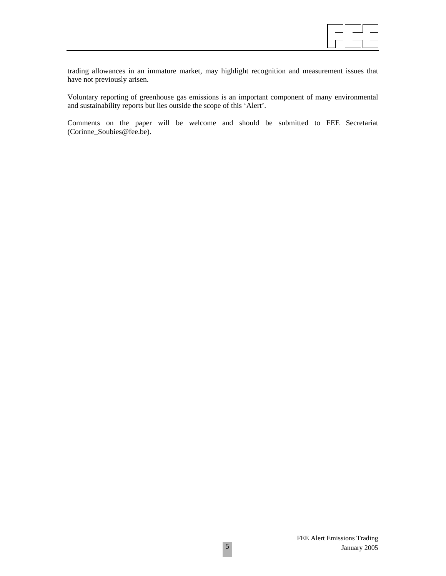

trading allowances in an immature market, may highlight recognition and measurement issues that have not previously arisen.

Voluntary reporting of greenhouse gas emissions is an important component of many environmental and sustainability reports but lies outside the scope of this 'Alert'.

Comments on the paper will be welcome and should be submitted to FEE Secretariat (Corinne\_Soubies@fee.be).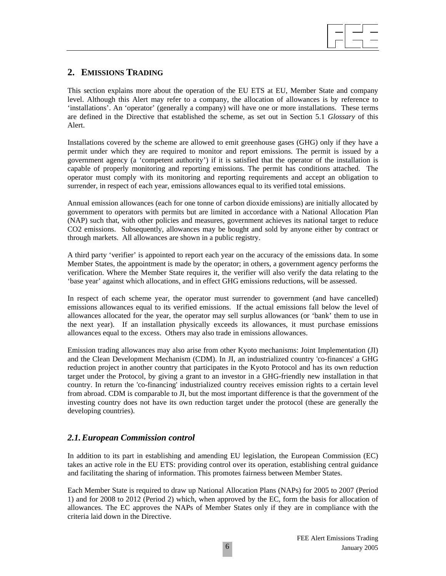

# **2. EMISSIONS TRADING**

This section explains more about the operation of the EU ETS at EU, Member State and company level. Although this Alert may refer to a company, the allocation of allowances is by reference to 'installations'. An 'operator' (generally a company) will have one or more installations. These terms are defined in the Directive that established the scheme, as set out in Section 5.1 *Glossary* of this Alert.

Installations covered by the scheme are allowed to emit greenhouse gases (GHG) only if they have a permit under which they are required to monitor and report emissions. The permit is issued by a government agency (a 'competent authority') if it is satisfied that the operator of the installation is capable of properly monitoring and reporting emissions. The permit has conditions attached. The operator must comply with its monitoring and reporting requirements and accept an obligation to surrender, in respect of each year, emissions allowances equal to its verified total emissions.

Annual emission allowances (each for one tonne of carbon dioxide emissions) are initially allocated by government to operators with permits but are limited in accordance with a National Allocation Plan (NAP) such that, with other policies and measures, government achieves its national target to reduce CO2 emissions. Subsequently, allowances may be bought and sold by anyone either by contract or through markets. All allowances are shown in a public registry.

A third party 'verifier' is appointed to report each year on the accuracy of the emissions data. In some Member States, the appointment is made by the operator; in others, a government agency performs the verification. Where the Member State requires it, the verifier will also verify the data relating to the 'base year' against which allocations, and in effect GHG emissions reductions, will be assessed.

In respect of each scheme year, the operator must surrender to government (and have cancelled) emissions allowances equal to its verified emissions. If the actual emissions fall below the level of allowances allocated for the year, the operator may sell surplus allowances (or 'bank' them to use in the next year). If an installation physically exceeds its allowances, it must purchase emissions allowances equal to the excess. Others may also trade in emissions allowances.

Emission trading allowances may also arise from other Kyoto mechanisms: Joint Implementation (JI) and the Clean Development Mechanism (CDM). In JI, an industrialized country 'co-finances' a GHG reduction project in another country that participates in the Kyoto Protocol and has its own reduction target under the Protocol, by giving a grant to an investor in a GHG-friendly new installation in that country. In return the 'co-financing' industrialized country receives emission rights to a certain level from abroad. CDM is comparable to JI, but the most important difference is that the government of the investing country does not have its own reduction target under the protocol (these are generally the developing countries).

### *2.1. European Commission control*

In addition to its part in establishing and amending EU legislation, the European Commission (EC) takes an active role in the EU ETS: providing control over its operation, establishing central guidance and facilitating the sharing of information. This promotes fairness between Member States.

Each Member State is required to draw up National Allocation Plans (NAPs) for 2005 to 2007 (Period 1) and for 2008 to 2012 (Period 2) which, when approved by the EC, form the basis for allocation of allowances. The EC approves the NAPs of Member States only if they are in compliance with the criteria laid down in the Directive.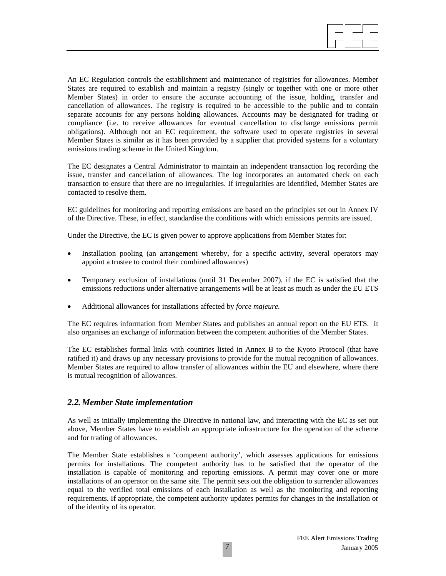An EC Regulation controls the establishment and maintenance of registries for allowances. Member States are required to establish and maintain a registry (singly or together with one or more other Member States) in order to ensure the accurate accounting of the issue, holding, transfer and cancellation of allowances. The registry is required to be accessible to the public and to contain separate accounts for any persons holding allowances. Accounts may be designated for trading or compliance (i.e. to receive allowances for eventual cancellation to discharge emissions permit obligations). Although not an EC requirement, the software used to operate registries in several Member States is similar as it has been provided by a supplier that provided systems for a voluntary emissions trading scheme in the United Kingdom.

The EC designates a Central Administrator to maintain an independent transaction log recording the issue, transfer and cancellation of allowances. The log incorporates an automated check on each transaction to ensure that there are no irregularities. If irregularities are identified, Member States are contacted to resolve them.

EC guidelines for monitoring and reporting emissions are based on the principles set out in Annex IV of the Directive. These, in effect, standardise the conditions with which emissions permits are issued.

Under the Directive, the EC is given power to approve applications from Member States for:

- Installation pooling (an arrangement whereby, for a specific activity, several operators may appoint a trustee to control their combined allowances)
- Temporary exclusion of installations (until 31 December 2007), if the EC is satisfied that the emissions reductions under alternative arrangements will be at least as much as under the EU ETS
- Additional allowances for installations affected by *force majeure.*

The EC requires information from Member States and publishes an annual report on the EU ETS. It also organises an exchange of information between the competent authorities of the Member States.

The EC establishes formal links with countries listed in Annex B to the Kyoto Protocol (that have ratified it) and draws up any necessary provisions to provide for the mutual recognition of allowances. Member States are required to allow transfer of allowances within the EU and elsewhere, where there is mutual recognition of allowances.

#### *2.2. Member State implementation*

As well as initially implementing the Directive in national law, and interacting with the EC as set out above, Member States have to establish an appropriate infrastructure for the operation of the scheme and for trading of allowances.

The Member State establishes a 'competent authority', which assesses applications for emissions permits for installations. The competent authority has to be satisfied that the operator of the installation is capable of monitoring and reporting emissions. A permit may cover one or more installations of an operator on the same site. The permit sets out the obligation to surrender allowances equal to the verified total emissions of each installation as well as the monitoring and reporting requirements. If appropriate, the competent authority updates permits for changes in the installation or of the identity of its operator.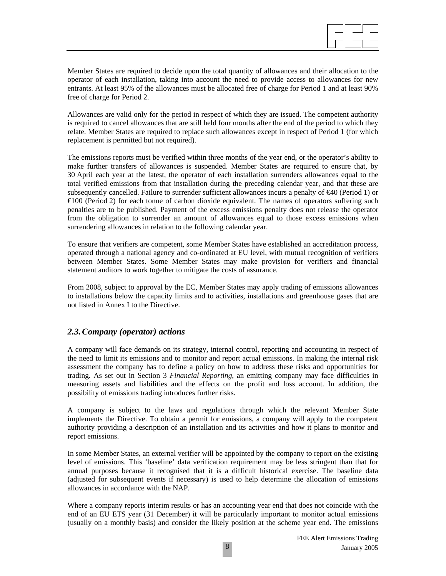

Member States are required to decide upon the total quantity of allowances and their allocation to the operator of each installation, taking into account the need to provide access to allowances for new entrants. At least 95% of the allowances must be allocated free of charge for Period 1 and at least 90% free of charge for Period 2.

Allowances are valid only for the period in respect of which they are issued. The competent authority is required to cancel allowances that are still held four months after the end of the period to which they relate. Member States are required to replace such allowances except in respect of Period 1 (for which replacement is permitted but not required).

The emissions reports must be verified within three months of the year end, or the operator's ability to make further transfers of allowances is suspended. Member States are required to ensure that, by 30 April each year at the latest, the operator of each installation surrenders allowances equal to the total verified emissions from that installation during the preceding calendar year, and that these are subsequently cancelled. Failure to surrender sufficient allowances incurs a penalty of €40 (Period 1) or €100 (Period 2) for each tonne of carbon dioxide equivalent. The names of operators suffering such penalties are to be published. Payment of the excess emissions penalty does not release the operator from the obligation to surrender an amount of allowances equal to those excess emissions when surrendering allowances in relation to the following calendar year.

To ensure that verifiers are competent, some Member States have established an accreditation process, operated through a national agency and co-ordinated at EU level, with mutual recognition of verifiers between Member States. Some Member States may make provision for verifiers and financial statement auditors to work together to mitigate the costs of assurance.

From 2008, subject to approval by the EC, Member States may apply trading of emissions allowances to installations below the capacity limits and to activities, installations and greenhouse gases that are not listed in Annex I to the Directive.

#### *2.3. Company (operator) actions*

A company will face demands on its strategy, internal control, reporting and accounting in respect of the need to limit its emissions and to monitor and report actual emissions. In making the internal risk assessment the company has to define a policy on how to address these risks and opportunities for trading. As set out in Section 3 *Financial Reporting*, an emitting company may face difficulties in measuring assets and liabilities and the effects on the profit and loss account. In addition, the possibility of emissions trading introduces further risks.

A company is subject to the laws and regulations through which the relevant Member State implements the Directive. To obtain a permit for emissions, a company will apply to the competent authority providing a description of an installation and its activities and how it plans to monitor and report emissions.

In some Member States, an external verifier will be appointed by the company to report on the existing level of emissions. This 'baseline' data verification requirement may be less stringent than that for annual purposes because it recognised that it is a difficult historical exercise. The baseline data (adjusted for subsequent events if necessary) is used to help determine the allocation of emissions allowances in accordance with the NAP.

Where a company reports interim results or has an accounting year end that does not coincide with the end of an EU ETS year (31 December) it will be particularly important to monitor actual emissions (usually on a monthly basis) and consider the likely position at the scheme year end. The emissions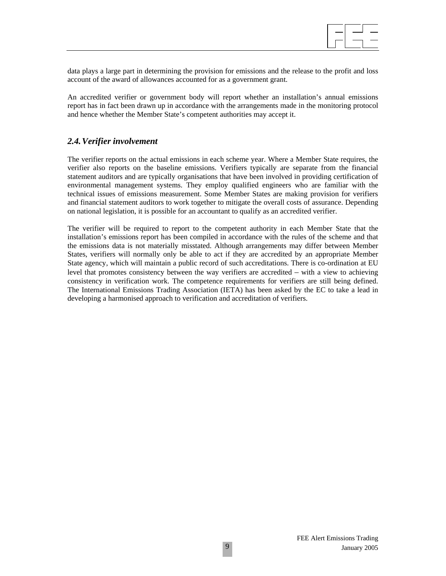

data plays a large part in determining the provision for emissions and the release to the profit and loss account of the award of allowances accounted for as a government grant.

An accredited verifier or government body will report whether an installation's annual emissions report has in fact been drawn up in accordance with the arrangements made in the monitoring protocol and hence whether the Member State's competent authorities may accept it.

### *2.4. Verifier involvement*

The verifier reports on the actual emissions in each scheme year. Where a Member State requires, the verifier also reports on the baseline emissions. Verifiers typically are separate from the financial statement auditors and are typically organisations that have been involved in providing certification of environmental management systems. They employ qualified engineers who are familiar with the technical issues of emissions measurement. Some Member States are making provision for verifiers and financial statement auditors to work together to mitigate the overall costs of assurance. Depending on national legislation, it is possible for an accountant to qualify as an accredited verifier.

The verifier will be required to report to the competent authority in each Member State that the installation's emissions report has been compiled in accordance with the rules of the scheme and that the emissions data is not materially misstated. Although arrangements may differ between Member States, verifiers will normally only be able to act if they are accredited by an appropriate Member State agency, which will maintain a public record of such accreditations. There is co-ordination at EU level that promotes consistency between the way verifiers are accredited – with a view to achieving consistency in verification work. The competence requirements for verifiers are still being defined. The International Emissions Trading Association (IETA) has been asked by the EC to take a lead in developing a harmonised approach to verification and accreditation of verifiers.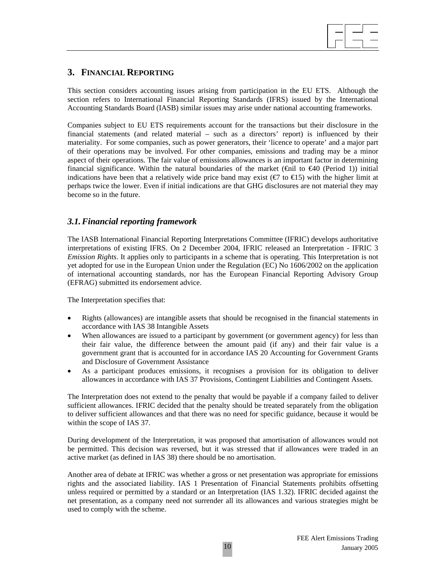

# **3. FINANCIAL REPORTING**

This section considers accounting issues arising from participation in the EU ETS. Although the section refers to International Financial Reporting Standards (IFRS) issued by the International Accounting Standards Board (IASB) similar issues may arise under national accounting frameworks.

Companies subject to EU ETS requirements account for the transactions but their disclosure in the financial statements (and related material – such as a directors' report) is influenced by their materiality. For some companies, such as power generators, their 'licence to operate' and a major part of their operations may be involved. For other companies, emissions and trading may be a minor aspect of their operations. The fair value of emissions allowances is an important factor in determining financial significance. Within the natural boundaries of the market ( $\oplus$ il to  $\oplus$ 40 (Period 1)) initial indications have been that a relatively wide price band may exist ( $\text{\textcircled{f}}$  to  $\text{\textcircled{f}}$  5) with the higher limit at perhaps twice the lower. Even if initial indications are that GHG disclosures are not material they may become so in the future.

### *3.1. Financial reporting framework*

The IASB International Financial Reporting Interpretations Committee (IFRIC) develops authoritative interpretations of existing IFRS. On 2 December 2004, IFRIC released an Interpretation - IFRIC 3 *Emission Rights*. It applies only to participants in a scheme that is operating. This Interpretation is not yet adopted for use in the European Union under the Regulation (EC) No 1606/2002 on the application of international accounting standards, nor has the European Financial Reporting Advisory Group (EFRAG) submitted its endorsement advice.

The Interpretation specifies that:

- Rights (allowances) are intangible assets that should be recognised in the financial statements in accordance with IAS 38 Intangible Assets
- When allowances are issued to a participant by government (or government agency) for less than their fair value, the difference between the amount paid (if any) and their fair value is a government grant that is accounted for in accordance IAS 20 Accounting for Government Grants and Disclosure of Government Assistance
- As a participant produces emissions, it recognises a provision for its obligation to deliver allowances in accordance with IAS 37 Provisions, Contingent Liabilities and Contingent Assets.

The Interpretation does not extend to the penalty that would be payable if a company failed to deliver sufficient allowances. IFRIC decided that the penalty should be treated separately from the obligation to deliver sufficient allowances and that there was no need for specific guidance, because it would be within the scope of IAS 37.

During development of the Interpretation, it was proposed that amortisation of allowances would not be permitted. This decision was reversed, but it was stressed that if allowances were traded in an active market (as defined in IAS 38) there should be no amortisation.

Another area of debate at IFRIC was whether a gross or net presentation was appropriate for emissions rights and the associated liability. IAS 1 Presentation of Financial Statements prohibits offsetting unless required or permitted by a standard or an Interpretation (IAS 1.32). IFRIC decided against the net presentation, as a company need not surrender all its allowances and various strategies might be used to comply with the scheme.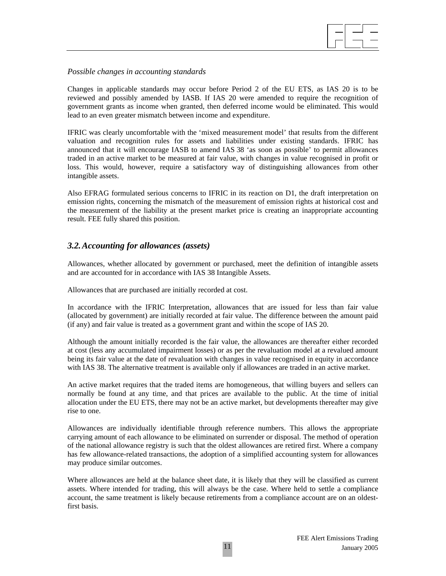

#### *Possible changes in accounting standards*

Changes in applicable standards may occur before Period 2 of the EU ETS, as IAS 20 is to be reviewed and possibly amended by IASB. If IAS 20 were amended to require the recognition of government grants as income when granted, then deferred income would be eliminated. This would lead to an even greater mismatch between income and expenditure.

IFRIC was clearly uncomfortable with the 'mixed measurement model' that results from the different valuation and recognition rules for assets and liabilities under existing standards. IFRIC has announced that it will encourage IASB to amend IAS 38 'as soon as possible' to permit allowances traded in an active market to be measured at fair value, with changes in value recognised in profit or loss. This would, however, require a satisfactory way of distinguishing allowances from other intangible assets.

Also EFRAG formulated serious concerns to IFRIC in its reaction on D1, the draft interpretation on emission rights, concerning the mismatch of the measurement of emission rights at historical cost and the measurement of the liability at the present market price is creating an inappropriate accounting result. FEE fully shared this position.

### *3.2. Accounting for allowances (assets)*

Allowances, whether allocated by government or purchased, meet the definition of intangible assets and are accounted for in accordance with IAS 38 Intangible Assets.

Allowances that are purchased are initially recorded at cost.

In accordance with the IFRIC Interpretation, allowances that are issued for less than fair value (allocated by government) are initially recorded at fair value. The difference between the amount paid (if any) and fair value is treated as a government grant and within the scope of IAS 20.

Although the amount initially recorded is the fair value, the allowances are thereafter either recorded at cost (less any accumulated impairment losses) or as per the revaluation model at a revalued amount being its fair value at the date of revaluation with changes in value recognised in equity in accordance with IAS 38. The alternative treatment is available only if allowances are traded in an active market.

An active market requires that the traded items are homogeneous, that willing buyers and sellers can normally be found at any time, and that prices are available to the public. At the time of initial allocation under the EU ETS, there may not be an active market, but developments thereafter may give rise to one.

Allowances are individually identifiable through reference numbers. This allows the appropriate carrying amount of each allowance to be eliminated on surrender or disposal. The method of operation of the national allowance registry is such that the oldest allowances are retired first. Where a company has few allowance-related transactions, the adoption of a simplified accounting system for allowances may produce similar outcomes.

Where allowances are held at the balance sheet date, it is likely that they will be classified as current assets. Where intended for trading, this will always be the case. Where held to settle a compliance account, the same treatment is likely because retirements from a compliance account are on an oldestfirst basis.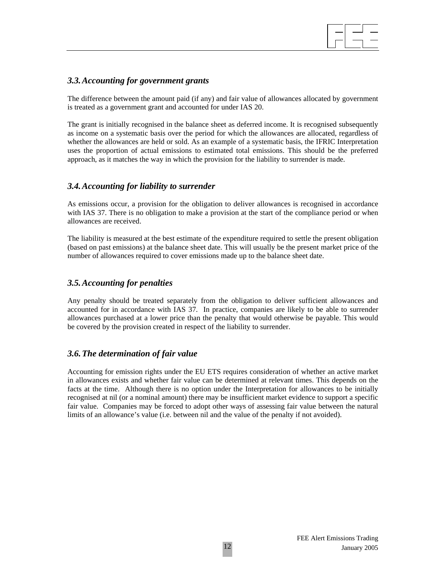

### *3.3. Accounting for government grants*

The difference between the amount paid (if any) and fair value of allowances allocated by government is treated as a government grant and accounted for under IAS 20.

The grant is initially recognised in the balance sheet as deferred income. It is recognised subsequently as income on a systematic basis over the period for which the allowances are allocated, regardless of whether the allowances are held or sold. As an example of a systematic basis, the IFRIC Interpretation uses the proportion of actual emissions to estimated total emissions. This should be the preferred approach, as it matches the way in which the provision for the liability to surrender is made.

### *3.4. Accounting for liability to surrender*

As emissions occur, a provision for the obligation to deliver allowances is recognised in accordance with IAS 37. There is no obligation to make a provision at the start of the compliance period or when allowances are received.

The liability is measured at the best estimate of the expenditure required to settle the present obligation (based on past emissions) at the balance sheet date. This will usually be the present market price of the number of allowances required to cover emissions made up to the balance sheet date.

### *3.5. Accounting for penalties*

Any penalty should be treated separately from the obligation to deliver sufficient allowances and accounted for in accordance with IAS 37. In practice, companies are likely to be able to surrender allowances purchased at a lower price than the penalty that would otherwise be payable. This would be covered by the provision created in respect of the liability to surrender.

#### *3.6. The determination of fair value*

Accounting for emission rights under the EU ETS requires consideration of whether an active market in allowances exists and whether fair value can be determined at relevant times. This depends on the facts at the time. Although there is no option under the Interpretation for allowances to be initially recognised at nil (or a nominal amount) there may be insufficient market evidence to support a specific fair value. Companies may be forced to adopt other ways of assessing fair value between the natural limits of an allowance's value (i.e. between nil and the value of the penalty if not avoided).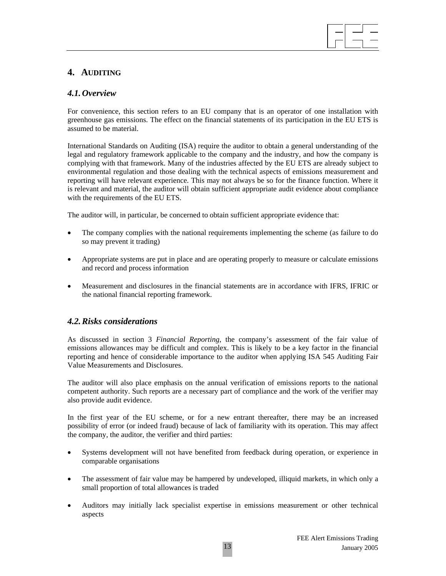# **4. AUDITING**

# *4.1. Overview*

For convenience, this section refers to an EU company that is an operator of one installation with greenhouse gas emissions. The effect on the financial statements of its participation in the EU ETS is assumed to be material.

International Standards on Auditing (ISA) require the auditor to obtain a general understanding of the legal and regulatory framework applicable to the company and the industry, and how the company is complying with that framework. Many of the industries affected by the EU ETS are already subject to environmental regulation and those dealing with the technical aspects of emissions measurement and reporting will have relevant experience. This may not always be so for the finance function. Where it is relevant and material, the auditor will obtain sufficient appropriate audit evidence about compliance with the requirements of the EU ETS.

The auditor will, in particular, be concerned to obtain sufficient appropriate evidence that:

- The company complies with the national requirements implementing the scheme (as failure to do so may prevent it trading)
- Appropriate systems are put in place and are operating properly to measure or calculate emissions and record and process information
- Measurement and disclosures in the financial statements are in accordance with IFRS, IFRIC or the national financial reporting framework.

### *4.2. Risks considerations*

As discussed in section 3 *Financial Reporting*, the company's assessment of the fair value of emissions allowances may be difficult and complex. This is likely to be a key factor in the financial reporting and hence of considerable importance to the auditor when applying ISA 545 Auditing Fair Value Measurements and Disclosures.

The auditor will also place emphasis on the annual verification of emissions reports to the national competent authority. Such reports are a necessary part of compliance and the work of the verifier may also provide audit evidence.

In the first year of the EU scheme, or for a new entrant thereafter, there may be an increased possibility of error (or indeed fraud) because of lack of familiarity with its operation. This may affect the company, the auditor, the verifier and third parties:

- Systems development will not have benefited from feedback during operation, or experience in comparable organisations
- The assessment of fair value may be hampered by undeveloped, illiquid markets, in which only a small proportion of total allowances is traded
- Auditors may initially lack specialist expertise in emissions measurement or other technical aspects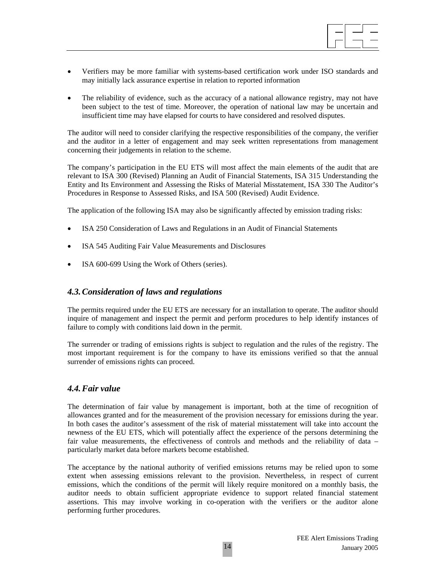

- Verifiers may be more familiar with systems-based certification work under ISO standards and may initially lack assurance expertise in relation to reported information
- The reliability of evidence, such as the accuracy of a national allowance registry, may not have been subject to the test of time. Moreover, the operation of national law may be uncertain and insufficient time may have elapsed for courts to have considered and resolved disputes.

The auditor will need to consider clarifying the respective responsibilities of the company, the verifier and the auditor in a letter of engagement and may seek written representations from management concerning their judgements in relation to the scheme.

The company's participation in the EU ETS will most affect the main elements of the audit that are relevant to ISA 300 (Revised) Planning an Audit of Financial Statements, ISA 315 Understanding the Entity and Its Environment and Assessing the Risks of Material Misstatement, ISA 330 The Auditor's Procedures in Response to Assessed Risks, and ISA 500 (Revised) Audit Evidence.

The application of the following ISA may also be significantly affected by emission trading risks:

- ISA 250 Consideration of Laws and Regulations in an Audit of Financial Statements
- ISA 545 Auditing Fair Value Measurements and Disclosures
- ISA 600-699 Using the Work of Others (series).

#### *4.3. Consideration of laws and regulations*

The permits required under the EU ETS are necessary for an installation to operate. The auditor should inquire of management and inspect the permit and perform procedures to help identify instances of failure to comply with conditions laid down in the permit.

The surrender or trading of emissions rights is subject to regulation and the rules of the registry. The most important requirement is for the company to have its emissions verified so that the annual surrender of emissions rights can proceed.

#### *4.4. Fair value*

The determination of fair value by management is important, both at the time of recognition of allowances granted and for the measurement of the provision necessary for emissions during the year. In both cases the auditor's assessment of the risk of material misstatement will take into account the newness of the EU ETS, which will potentially affect the experience of the persons determining the fair value measurements, the effectiveness of controls and methods and the reliability of data – particularly market data before markets become established.

The acceptance by the national authority of verified emissions returns may be relied upon to some extent when assessing emissions relevant to the provision. Nevertheless, in respect of current emissions, which the conditions of the permit will likely require monitored on a monthly basis, the auditor needs to obtain sufficient appropriate evidence to support related financial statement assertions. This may involve working in co-operation with the verifiers or the auditor alone performing further procedures.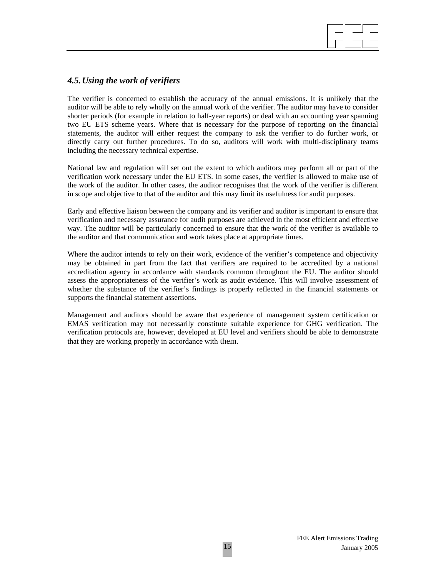# *4.5. Using the work of verifiers*

The verifier is concerned to establish the accuracy of the annual emissions. It is unlikely that the auditor will be able to rely wholly on the annual work of the verifier. The auditor may have to consider shorter periods (for example in relation to half-year reports) or deal with an accounting year spanning two EU ETS scheme years. Where that is necessary for the purpose of reporting on the financial statements, the auditor will either request the company to ask the verifier to do further work, or directly carry out further procedures. To do so, auditors will work with multi-disciplinary teams including the necessary technical expertise.

National law and regulation will set out the extent to which auditors may perform all or part of the verification work necessary under the EU ETS. In some cases, the verifier is allowed to make use of the work of the auditor. In other cases, the auditor recognises that the work of the verifier is different in scope and objective to that of the auditor and this may limit its usefulness for audit purposes.

Early and effective liaison between the company and its verifier and auditor is important to ensure that verification and necessary assurance for audit purposes are achieved in the most efficient and effective way. The auditor will be particularly concerned to ensure that the work of the verifier is available to the auditor and that communication and work takes place at appropriate times.

Where the auditor intends to rely on their work, evidence of the verifier's competence and objectivity may be obtained in part from the fact that verifiers are required to be accredited by a national accreditation agency in accordance with standards common throughout the EU. The auditor should assess the appropriateness of the verifier's work as audit evidence. This will involve assessment of whether the substance of the verifier's findings is properly reflected in the financial statements or supports the financial statement assertions.

Management and auditors should be aware that experience of management system certification or EMAS verification may not necessarily constitute suitable experience for GHG verification. The verification protocols are, however, developed at EU level and verifiers should be able to demonstrate that they are working properly in accordance with them.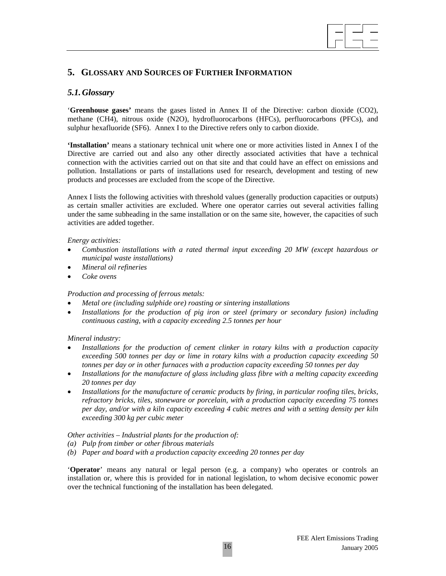

# **5. GLOSSARY AND SOURCES OF FURTHER INFORMATION**

# *5.1. Glossary*

'**Greenhouse gases'** means the gases listed in Annex II of the Directive: carbon dioxide (CO2), methane (CH4), nitrous oxide (N2O), hydrofluorocarbons (HFCs), perfluorocarbons (PFCs), and sulphur hexafluoride (SF6). Annex I to the Directive refers only to carbon dioxide.

**'Installation'** means a stationary technical unit where one or more activities listed in Annex I of the Directive are carried out and also any other directly associated activities that have a technical connection with the activities carried out on that site and that could have an effect on emissions and pollution. Installations or parts of installations used for research, development and testing of new products and processes are excluded from the scope of the Directive.

Annex I lists the following activities with threshold values (generally production capacities or outputs) as certain smaller activities are excluded. Where one operator carries out several activities falling under the same subheading in the same installation or on the same site, however, the capacities of such activities are added together.

#### *Energy activities:*

- *Combustion installations with a rated thermal input exceeding 20 MW (except hazardous or municipal waste installations)*
- *Mineral oil refineries*
- *Coke ovens*

#### *Production and processing of ferrous metals:*

- *Metal ore (including sulphide ore) roasting or sintering installations*
- *Installations for the production of pig iron or steel (primary or secondary fusion) including continuous casting, with a capacity exceeding 2.5 tonnes per hour*

#### *Mineral industry:*

- *Installations for the production of cement clinker in rotary kilns with a production capacity exceeding 500 tonnes per day or lime in rotary kilns with a production capacity exceeding 50 tonnes per day or in other furnaces with a production capacity exceeding 50 tonnes per day*
- *Installations for the manufacture of glass including glass fibre with a melting capacity exceeding 20 tonnes per day*
- *Installations for the manufacture of ceramic products by firing, in particular roofing tiles, bricks, refractory bricks, tiles, stoneware or porcelain, with a production capacity exceeding 75 tonnes per day, and/or with a kiln capacity exceeding 4 cubic metres and with a setting density per kiln exceeding 300 kg per cubic meter*

*Other activities – Industrial plants for the production of:* 

- *(a) Pulp from timber or other fibrous materials*
- *(b) Paper and board with a production capacity exceeding 20 tonnes per day*

'**Operator**' means any natural or legal person (e.g. a company) who operates or controls an installation or, where this is provided for in national legislation, to whom decisive economic power over the technical functioning of the installation has been delegated.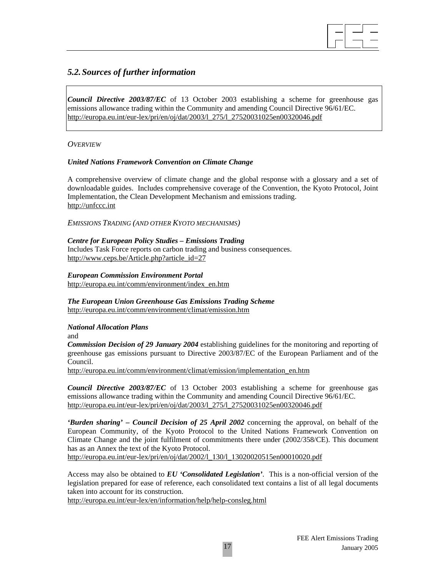

# *5.2. Sources of further information*

*Council Directive 2003/87/EC* of 13 October 2003 establishing a scheme for greenhouse gas emissions allowance trading within the Community and amending Council Directive 96/61/EC. http://europa.eu.int/eur-lex/pri/en/oj/dat/2003/l\_275/l\_27520031025en00320046.pdf

*OVERVIEW*

#### *United Nations Framework Convention on Climate Change*

A comprehensive overview of climate change and the global response with a glossary and a set of downloadable guides. Includes comprehensive coverage of the Convention, the Kyoto Protocol, Joint Implementation, the Clean Development Mechanism and emissions trading. http://unfccc.int

*EMISSIONS TRADING (AND OTHER KYOTO MECHANISMS)* 

*Centre for European Policy Studies – Emissions Trading*  Includes Task Force reports on carbon trading and business consequences. http://www.ceps.be/Article.php?article\_id=27

*European Commission Environment Portal*  http://europa.eu.int/comm/environment/index\_en.htm

*The European Union Greenhouse Gas Emissions Trading Scheme*  http://europa.eu.int/comm/environment/climat/emission.htm

*National Allocation Plans*  and

*Commission Decision of 29 January 2004* establishing guidelines for the monitoring and reporting of greenhouse gas emissions pursuant to Directive 2003/87/EC of the European Parliament and of the Council.

http://europa.eu.int/comm/environment/climat/emission/implementation\_en.htm

*Council Directive 2003/87/EC* of 13 October 2003 establishing a scheme for greenhouse gas emissions allowance trading within the Community and amending Council Directive 96/61/EC. http://europa.eu.int/eur-lex/pri/en/oj/dat/2003/l\_275/l\_27520031025en00320046.pdf

*'Burden sharing' – Council Decision of 25 April 2002* concerning the approval, on behalf of the European Community, of the Kyoto Protocol to the United Nations Framework Convention on Climate Change and the joint fulfilment of commitments there under (2002/358/CE). This document has as an Annex the text of the Kyoto Protocol.

http://europa.eu.int/eur-lex/pri/en/oj/dat/2002/l\_130/l\_13020020515en00010020.pdf

Access may also be obtained to *EU 'Consolidated Legislation'*. This is a non-official version of the legislation prepared for ease of reference, each consolidated text contains a list of all legal documents taken into account for its construction.

http://europa.eu.int/eur-lex/en/information/help/help-consleg.html